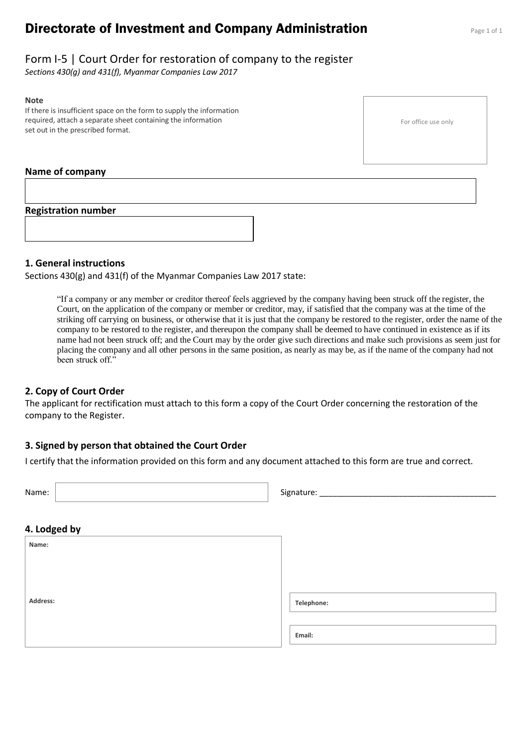# **Directorate of Investment and Company Administration** Page 1 of 1

## Form I-5 | Court Order for restoration of company to the register

*Sections 430(g) and 431(f), Myanmar Companies Law 2017*

#### **Note**

If there is insufficient space on the form to supply the information required, attach a separate sheet containing the information set out in the prescribed format.

### **Name of company**

#### **Registration number**

### **1. General instructions**

Sections 430(g) and 431(f) of the Myanmar Companies Law 2017 state:

"If a company or any member or creditor thereof feels aggrieved by the company having been struck off the register, the Court, on the application of the company or member or creditor, may, if satisfied that the company was at the time of the striking off carrying on business, or otherwise that it is just that the company be restored to the register, order the name of the company to be restored to the register, and thereupon the company shall be deemed to have continued in existence as if its name had not been struck off; and the Court may by the order give such directions and make such provisions as seem just for placing the company and all other persons in the same position, as nearly as may be, as if the name of the company had not been struck off."

#### **2. Copy of Court Order**

The applicant for rectification must attach to this form a copy of the Court Order concerning the restoration of the company to the Register.

#### **3. Signed by person that obtained the Court Order**

I certify that the information provided on this form and any document attached to this form are true and correct.

| Name:        | Signature: ____ |
|--------------|-----------------|
| 4. Lodged by |                 |
| Name:        |                 |
|              |                 |
| Address:     | Telephone:      |
|              | Email:          |

For office use only